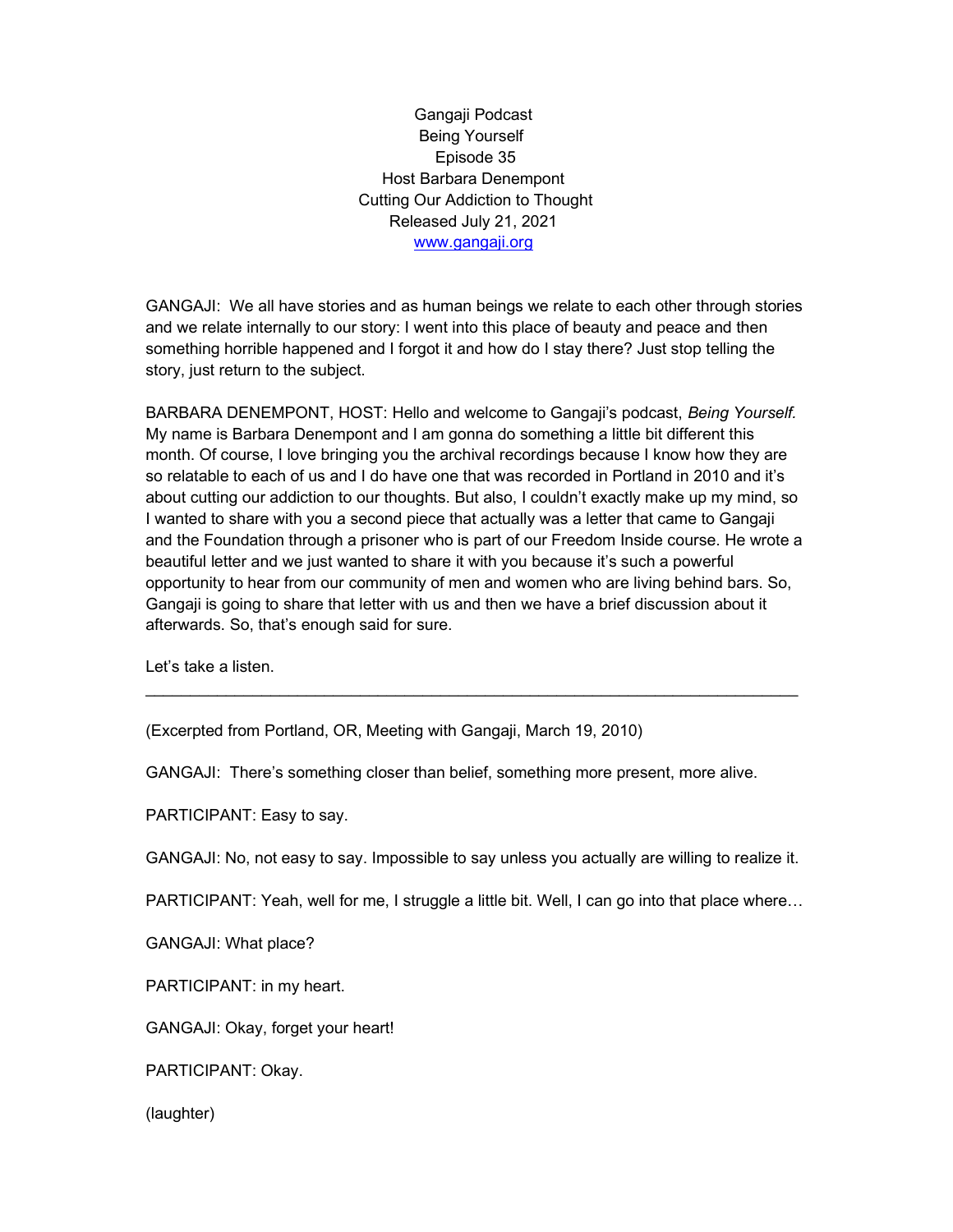Gangaji Podcast Being Yourself Episode 35 Host Barbara Denempont Cutting Our Addiction to Thought Released July 21, 2021 www.gangaji.org

GANGAJI: We all have stories and as human beings we relate to each other through stories and we relate internally to our story: I went into this place of beauty and peace and then something horrible happened and I forgot it and how do I stay there? Just stop telling the story, just return to the subject.

BARBARA DENEMPONT, HOST: Hello and welcome to Gangaji's podcast, Being Yourself. My name is Barbara Denempont and I am gonna do something a little bit different this month. Of course, I love bringing you the archival recordings because I know how they are so relatable to each of us and I do have one that was recorded in Portland in 2010 and it's about cutting our addiction to our thoughts. But also, I couldn't exactly make up my mind, so I wanted to share with you a second piece that actually was a letter that came to Gangaji and the Foundation through a prisoner who is part of our Freedom Inside course. He wrote a beautiful letter and we just wanted to share it with you because it's such a powerful opportunity to hear from our community of men and women who are living behind bars. So, Gangaji is going to share that letter with us and then we have a brief discussion about it afterwards. So, that's enough said for sure.

 $\overline{\phantom{a}}$  , and the contribution of the contribution of the contribution of the contribution of the contribution of the contribution of the contribution of the contribution of the contribution of the contribution of the

Let's take a listen.

(Excerpted from Portland, OR, Meeting with Gangaji, March 19, 2010)

GANGAJI: There's something closer than belief, something more present, more alive.

PARTICIPANT: Easy to say.

GANGAJI: No, not easy to say. Impossible to say unless you actually are willing to realize it.

PARTICIPANT: Yeah, well for me, I struggle a little bit. Well, I can go into that place where…

GANGAJI: What place?

PARTICIPANT: in my heart.

GANGAJI: Okay, forget your heart!

PARTICIPANT: Okay.

(laughter)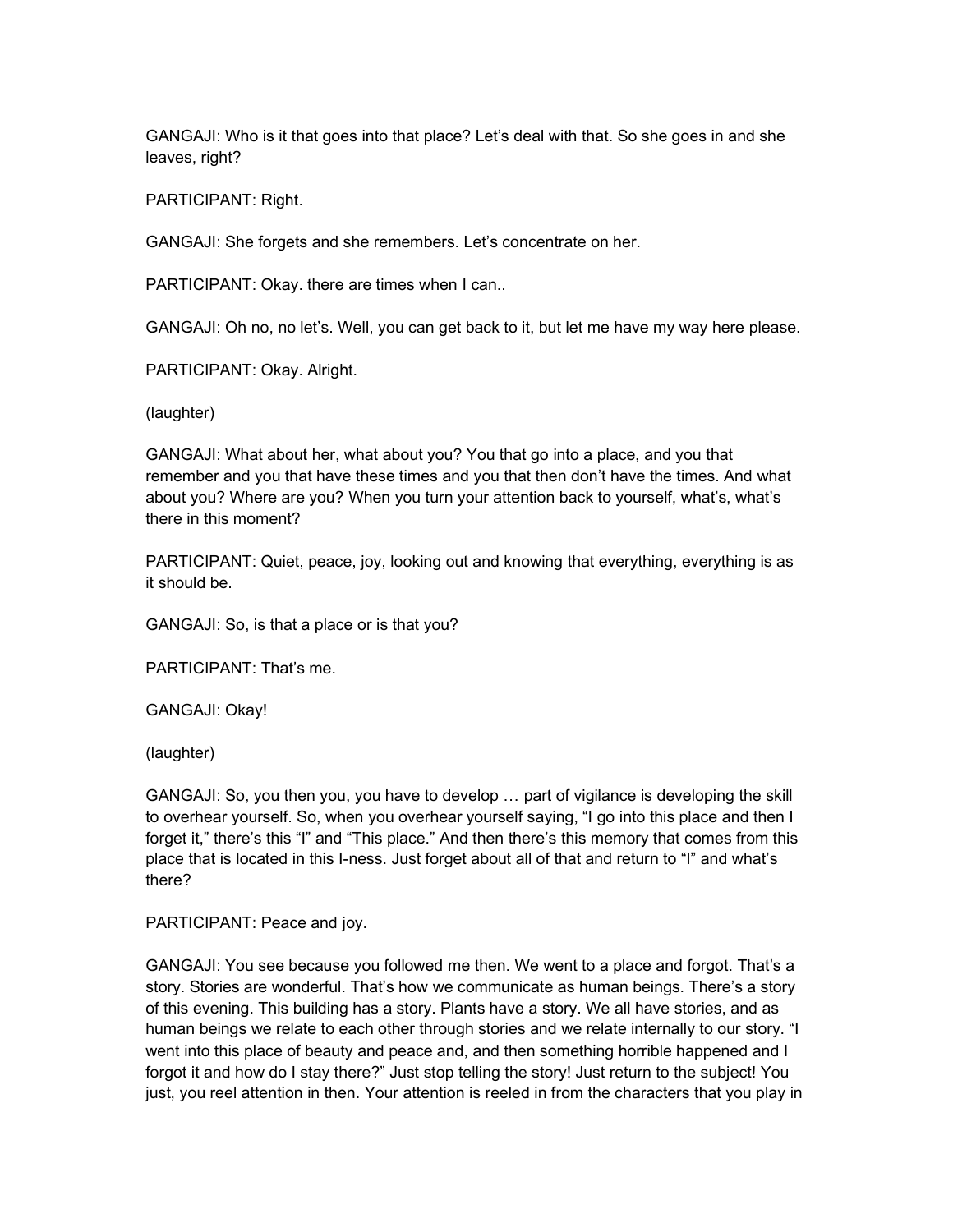GANGAJI: Who is it that goes into that place? Let's deal with that. So she goes in and she leaves, right?

PARTICIPANT: Right.

GANGAJI: She forgets and she remembers. Let's concentrate on her.

PARTICIPANT: Okay. there are times when I can..

GANGAJI: Oh no, no let's. Well, you can get back to it, but let me have my way here please.

PARTICIPANT: Okay. Alright.

(laughter)

GANGAJI: What about her, what about you? You that go into a place, and you that remember and you that have these times and you that then don't have the times. And what about you? Where are you? When you turn your attention back to yourself, what's, what's there in this moment?

PARTICIPANT: Quiet, peace, joy, looking out and knowing that everything, everything is as it should be.

GANGAJI: So, is that a place or is that you?

PARTICIPANT: That's me.

GANGAJI: Okay!

(laughter)

GANGAJI: So, you then you, you have to develop … part of vigilance is developing the skill to overhear yourself. So, when you overhear yourself saying, "I go into this place and then I forget it," there's this "I" and "This place." And then there's this memory that comes from this place that is located in this I-ness. Just forget about all of that and return to "I" and what's there?

PARTICIPANT: Peace and joy.

GANGAJI: You see because you followed me then. We went to a place and forgot. That's a story. Stories are wonderful. That's how we communicate as human beings. There's a story of this evening. This building has a story. Plants have a story. We all have stories, and as human beings we relate to each other through stories and we relate internally to our story. "I went into this place of beauty and peace and, and then something horrible happened and I forgot it and how do I stay there?" Just stop telling the story! Just return to the subject! You just, you reel attention in then. Your attention is reeled in from the characters that you play in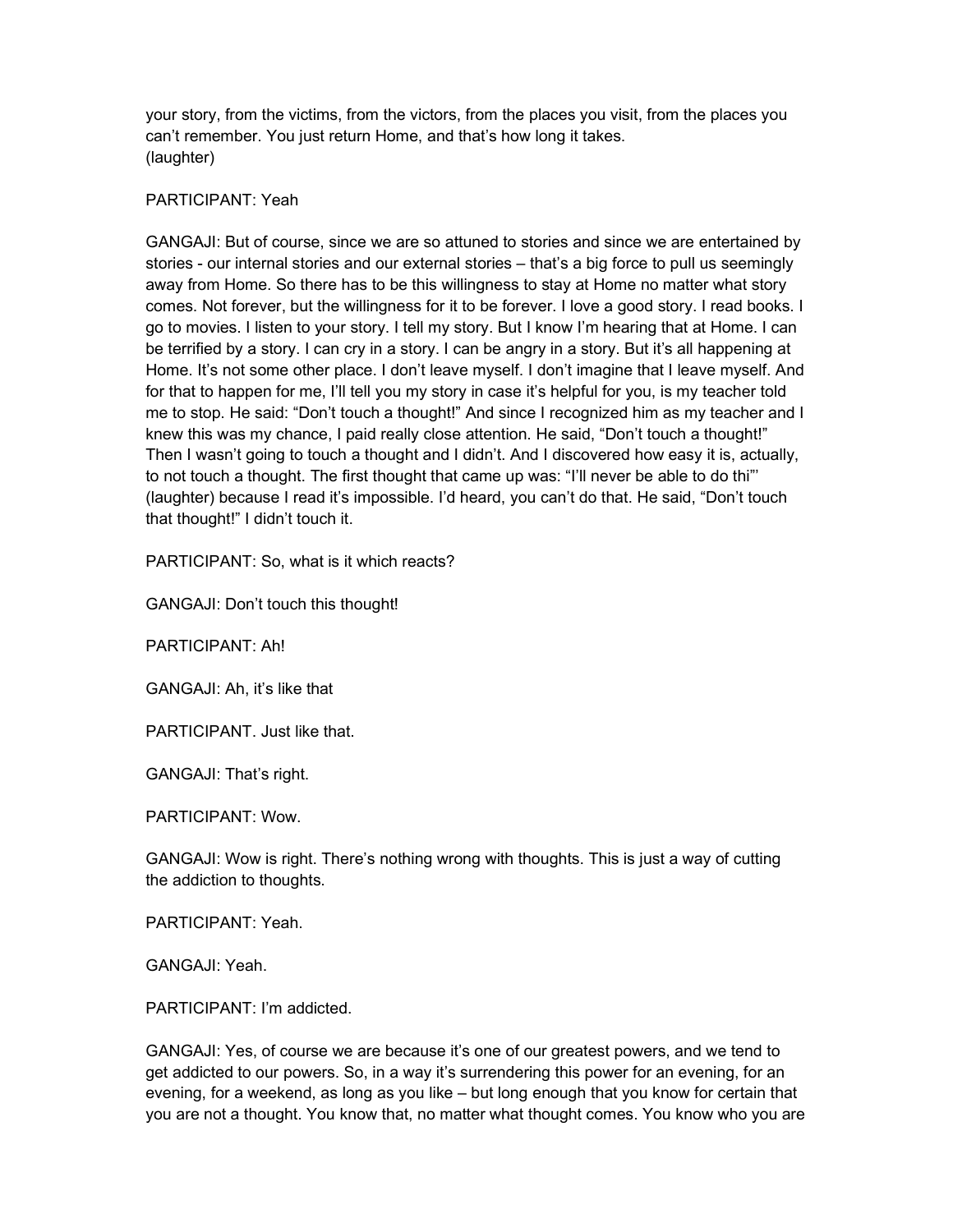your story, from the victims, from the victors, from the places you visit, from the places you can't remember. You just return Home, and that's how long it takes. (laughter)

## PARTICIPANT: Yeah

GANGAJI: But of course, since we are so attuned to stories and since we are entertained by stories - our internal stories and our external stories – that's a big force to pull us seemingly away from Home. So there has to be this willingness to stay at Home no matter what story comes. Not forever, but the willingness for it to be forever. I love a good story. I read books. I go to movies. I listen to your story. I tell my story. But I know I'm hearing that at Home. I can be terrified by a story. I can cry in a story. I can be angry in a story. But it's all happening at Home. It's not some other place. I don't leave myself. I don't imagine that I leave myself. And for that to happen for me, I'll tell you my story in case it's helpful for you, is my teacher told me to stop. He said: "Don't touch a thought!" And since I recognized him as my teacher and I knew this was my chance, I paid really close attention. He said, "Don't touch a thought!" Then I wasn't going to touch a thought and I didn't. And I discovered how easy it is, actually, to not touch a thought. The first thought that came up was: "I'll never be able to do thi"' (laughter) because I read it's impossible. I'd heard, you can't do that. He said, "Don't touch that thought!" I didn't touch it.

PARTICIPANT: So, what is it which reacts?

GANGAJI: Don't touch this thought!

PARTICIPANT: Ah!

GANGAJI: Ah, it's like that

PARTICIPANT. Just like that.

GANGAJI: That's right.

PARTICIPANT: Wow.

GANGAJI: Wow is right. There's nothing wrong with thoughts. This is just a way of cutting the addiction to thoughts.

PARTICIPANT: Yeah.

GANGAJI: Yeah.

PARTICIPANT: I'm addicted.

GANGAJI: Yes, of course we are because it's one of our greatest powers, and we tend to get addicted to our powers. So, in a way it's surrendering this power for an evening, for an evening, for a weekend, as long as you like – but long enough that you know for certain that you are not a thought. You know that, no matter what thought comes. You know who you are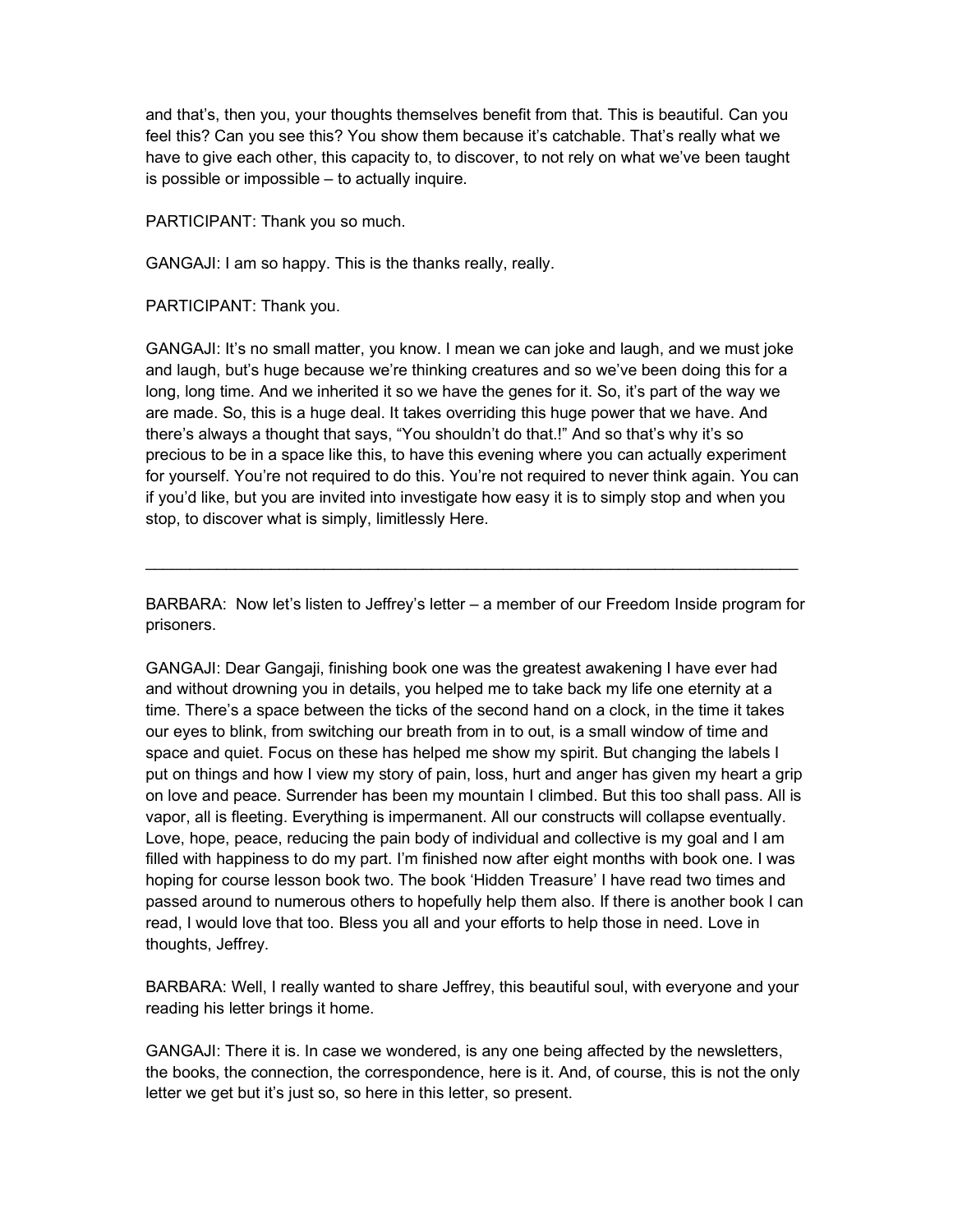and that's, then you, your thoughts themselves benefit from that. This is beautiful. Can you feel this? Can you see this? You show them because it's catchable. That's really what we have to give each other, this capacity to, to discover, to not rely on what we've been taught is possible or impossible – to actually inquire.

PARTICIPANT: Thank you so much.

GANGAJI: I am so happy. This is the thanks really, really.

PARTICIPANT: Thank you.

GANGAJI: It's no small matter, you know. I mean we can joke and laugh, and we must joke and laugh, but's huge because we're thinking creatures and so we've been doing this for a long, long time. And we inherited it so we have the genes for it. So, it's part of the way we are made. So, this is a huge deal. It takes overriding this huge power that we have. And there's always a thought that says, "You shouldn't do that.!" And so that's why it's so precious to be in a space like this, to have this evening where you can actually experiment for yourself. You're not required to do this. You're not required to never think again. You can if you'd like, but you are invited into investigate how easy it is to simply stop and when you stop, to discover what is simply, limitlessly Here.

BARBARA: Now let's listen to Jeffrey's letter – a member of our Freedom Inside program for prisoners.

 $\overline{\phantom{a}}$  , and the contribution of the contribution of the contribution of the contribution of the contribution of the contribution of the contribution of the contribution of the contribution of the contribution of the

GANGAJI: Dear Gangaji, finishing book one was the greatest awakening I have ever had and without drowning you in details, you helped me to take back my life one eternity at a time. There's a space between the ticks of the second hand on a clock, in the time it takes our eyes to blink, from switching our breath from in to out, is a small window of time and space and quiet. Focus on these has helped me show my spirit. But changing the labels I put on things and how I view my story of pain, loss, hurt and anger has given my heart a grip on love and peace. Surrender has been my mountain I climbed. But this too shall pass. All is vapor, all is fleeting. Everything is impermanent. All our constructs will collapse eventually. Love, hope, peace, reducing the pain body of individual and collective is my goal and I am filled with happiness to do my part. I'm finished now after eight months with book one. I was hoping for course lesson book two. The book 'Hidden Treasure' I have read two times and passed around to numerous others to hopefully help them also. If there is another book I can read, I would love that too. Bless you all and your efforts to help those in need. Love in thoughts, Jeffrey.

BARBARA: Well, I really wanted to share Jeffrey, this beautiful soul, with everyone and your reading his letter brings it home.

GANGAJI: There it is. In case we wondered, is any one being affected by the newsletters, the books, the connection, the correspondence, here is it. And, of course, this is not the only letter we get but it's just so, so here in this letter, so present.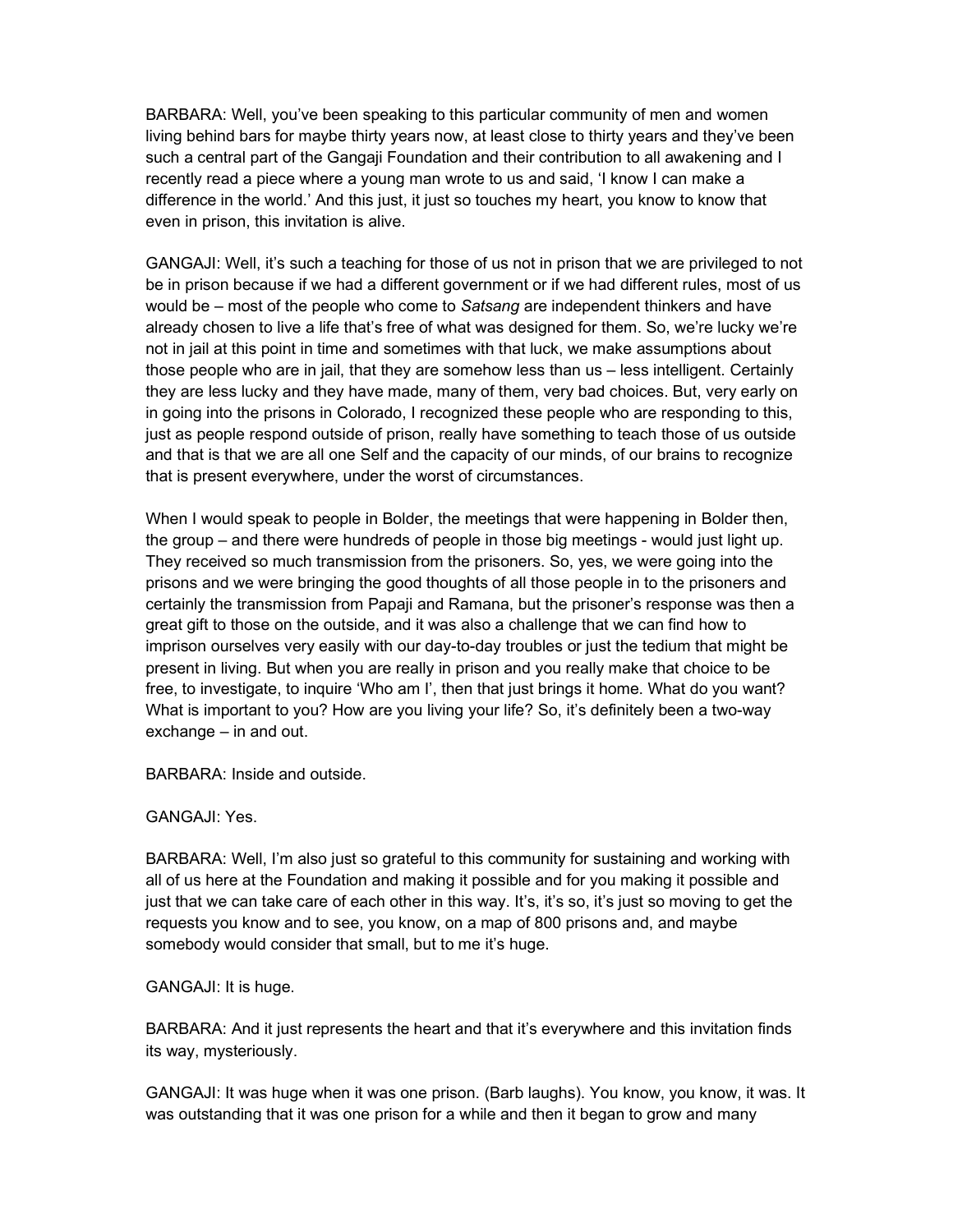BARBARA: Well, you've been speaking to this particular community of men and women living behind bars for maybe thirty years now, at least close to thirty years and they've been such a central part of the Gangaji Foundation and their contribution to all awakening and I recently read a piece where a young man wrote to us and said, 'I know I can make a difference in the world.' And this just, it just so touches my heart, you know to know that even in prison, this invitation is alive.

GANGAJI: Well, it's such a teaching for those of us not in prison that we are privileged to not be in prison because if we had a different government or if we had different rules, most of us would be – most of the people who come to Satsang are independent thinkers and have already chosen to live a life that's free of what was designed for them. So, we're lucky we're not in jail at this point in time and sometimes with that luck, we make assumptions about those people who are in jail, that they are somehow less than us – less intelligent. Certainly they are less lucky and they have made, many of them, very bad choices. But, very early on in going into the prisons in Colorado, I recognized these people who are responding to this, just as people respond outside of prison, really have something to teach those of us outside and that is that we are all one Self and the capacity of our minds, of our brains to recognize that is present everywhere, under the worst of circumstances.

When I would speak to people in Bolder, the meetings that were happening in Bolder then, the group – and there were hundreds of people in those big meetings - would just light up. They received so much transmission from the prisoners. So, yes, we were going into the prisons and we were bringing the good thoughts of all those people in to the prisoners and certainly the transmission from Papaji and Ramana, but the prisoner's response was then a great gift to those on the outside, and it was also a challenge that we can find how to imprison ourselves very easily with our day-to-day troubles or just the tedium that might be present in living. But when you are really in prison and you really make that choice to be free, to investigate, to inquire 'Who am I', then that just brings it home. What do you want? What is important to you? How are you living your life? So, it's definitely been a two-way exchange – in and out.

BARBARA: Inside and outside.

## GANGAJI: Yes.

BARBARA: Well, I'm also just so grateful to this community for sustaining and working with all of us here at the Foundation and making it possible and for you making it possible and just that we can take care of each other in this way. It's, it's so, it's just so moving to get the requests you know and to see, you know, on a map of 800 prisons and, and maybe somebody would consider that small, but to me it's huge.

## GANGAJI: It is huge.

BARBARA: And it just represents the heart and that it's everywhere and this invitation finds its way, mysteriously.

GANGAJI: It was huge when it was one prison. (Barb laughs). You know, you know, it was. It was outstanding that it was one prison for a while and then it began to grow and many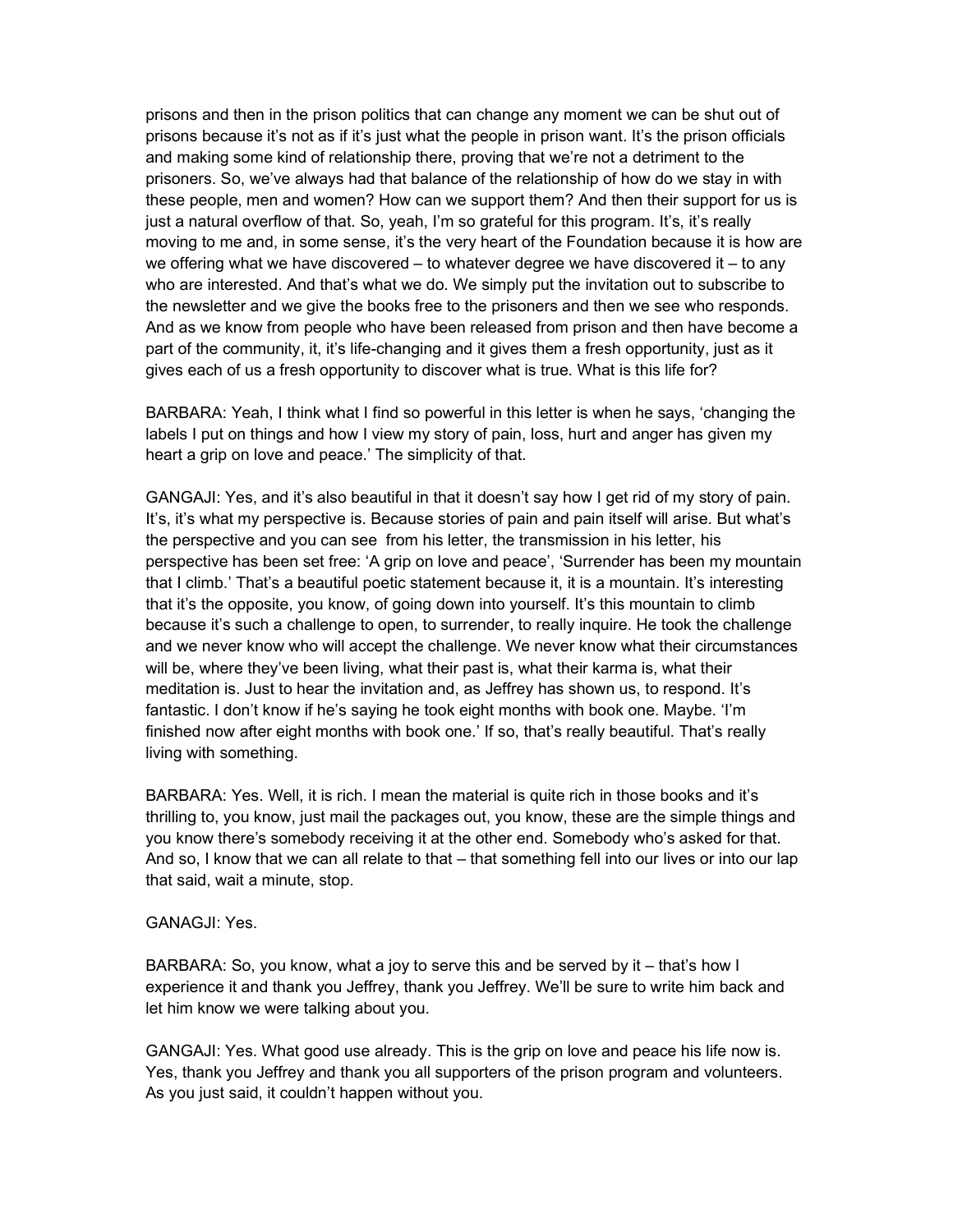prisons and then in the prison politics that can change any moment we can be shut out of prisons because it's not as if it's just what the people in prison want. It's the prison officials and making some kind of relationship there, proving that we're not a detriment to the prisoners. So, we've always had that balance of the relationship of how do we stay in with these people, men and women? How can we support them? And then their support for us is just a natural overflow of that. So, yeah, I'm so grateful for this program. It's, it's really moving to me and, in some sense, it's the very heart of the Foundation because it is how are we offering what we have discovered  $-$  to whatever degree we have discovered it  $-$  to any who are interested. And that's what we do. We simply put the invitation out to subscribe to the newsletter and we give the books free to the prisoners and then we see who responds. And as we know from people who have been released from prison and then have become a part of the community, it, it's life-changing and it gives them a fresh opportunity, just as it gives each of us a fresh opportunity to discover what is true. What is this life for?

BARBARA: Yeah, I think what I find so powerful in this letter is when he says, 'changing the labels I put on things and how I view my story of pain, loss, hurt and anger has given my heart a grip on love and peace.' The simplicity of that.

GANGAJI: Yes, and it's also beautiful in that it doesn't say how I get rid of my story of pain. It's, it's what my perspective is. Because stories of pain and pain itself will arise. But what's the perspective and you can see from his letter, the transmission in his letter, his perspective has been set free: 'A grip on love and peace', 'Surrender has been my mountain that I climb.' That's a beautiful poetic statement because it, it is a mountain. It's interesting that it's the opposite, you know, of going down into yourself. It's this mountain to climb because it's such a challenge to open, to surrender, to really inquire. He took the challenge and we never know who will accept the challenge. We never know what their circumstances will be, where they've been living, what their past is, what their karma is, what their meditation is. Just to hear the invitation and, as Jeffrey has shown us, to respond. It's fantastic. I don't know if he's saying he took eight months with book one. Maybe. 'I'm finished now after eight months with book one.' If so, that's really beautiful. That's really living with something.

BARBARA: Yes. Well, it is rich. I mean the material is quite rich in those books and it's thrilling to, you know, just mail the packages out, you know, these are the simple things and you know there's somebody receiving it at the other end. Somebody who's asked for that. And so, I know that we can all relate to that – that something fell into our lives or into our lap that said, wait a minute, stop.

## GANAGJI: Yes.

BARBARA: So, you know, what a joy to serve this and be served by it – that's how I experience it and thank you Jeffrey, thank you Jeffrey. We'll be sure to write him back and let him know we were talking about you.

GANGAJI: Yes. What good use already. This is the grip on love and peace his life now is. Yes, thank you Jeffrey and thank you all supporters of the prison program and volunteers. As you just said, it couldn't happen without you.